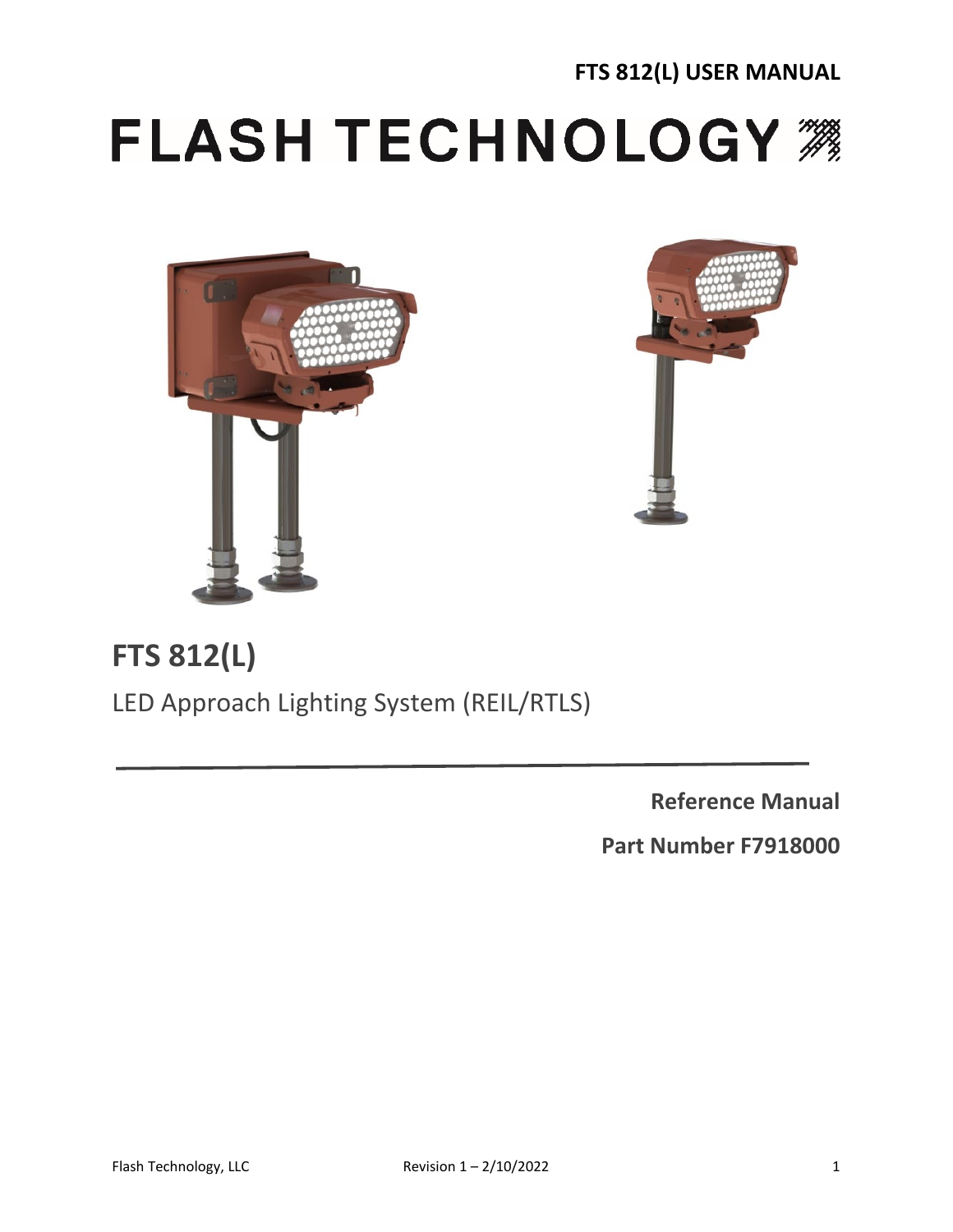# **FLASH TECHNOLOGY ##**





# **FTS 812(L)**

LED Approach Lighting System (REIL/RTLS)

**Reference Manual**

**Part Number F7918000**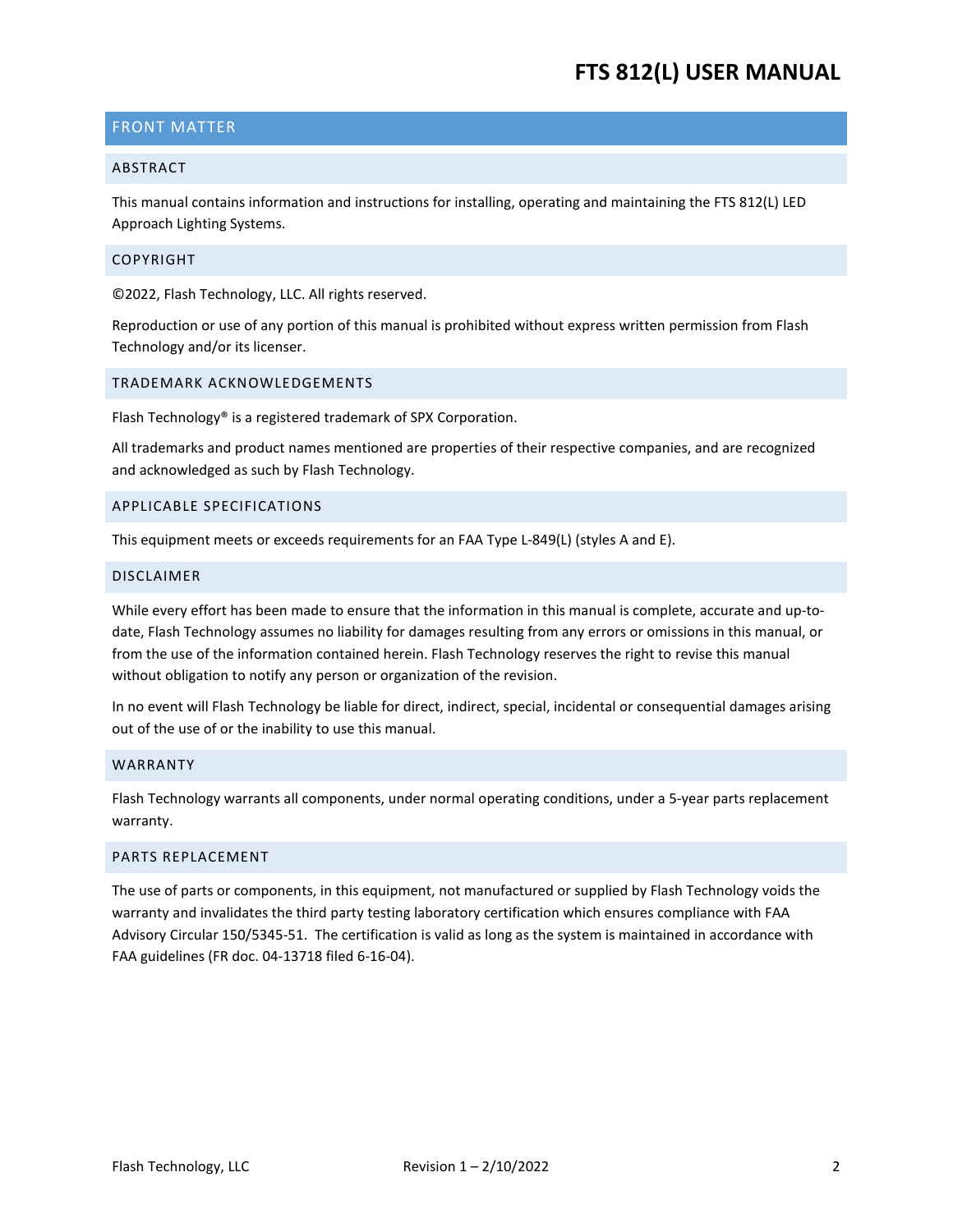# <span id="page-1-0"></span>FRONT MATTER

### <span id="page-1-1"></span>ABSTRACT

This manual contains information and instructions for installing, operating and maintaining the FTS 812(L) LED Approach Lighting Systems.

### <span id="page-1-2"></span>COPYRIGHT

©2022, Flash Technology, LLC. All rights reserved.

Reproduction or use of any portion of this manual is prohibited without express written permission from Flash Technology and/or its licenser.

### <span id="page-1-3"></span>TRADEMARK ACKNOWLEDGEMENTS

Flash Technology® is a registered trademark of SPX Corporation.

All trademarks and product names mentioned are properties of their respective companies, and are recognized and acknowledged as such by Flash Technology.

### <span id="page-1-4"></span>APPLICABLE SPECIFICATIONS

This equipment meets or exceeds requirements for an FAA Type L-849(L) (styles A and E).

### <span id="page-1-5"></span>DISCLAIMER

While every effort has been made to ensure that the information in this manual is complete, accurate and up-todate, Flash Technology assumes no liability for damages resulting from any errors or omissions in this manual, or from the use of the information contained herein. Flash Technology reserves the right to revise this manual without obligation to notify any person or organization of the revision.

In no event will Flash Technology be liable for direct, indirect, special, incidental or consequential damages arising out of the use of or the inability to use this manual.

### <span id="page-1-6"></span>WARRANTY

Flash Technology warrants all components, under normal operating conditions, under a 5-year parts replacement warranty.

### <span id="page-1-7"></span>PARTS REPLACEMENT

The use of parts or components, in this equipment, not manufactured or supplied by Flash Technology voids the warranty and invalidates the third party testing laboratory certification which ensures compliance with FAA Advisory Circular 150/5345-51. The certification is valid as long as the system is maintained in accordance with FAA guidelines (FR doc. 04-13718 filed 6-16-04).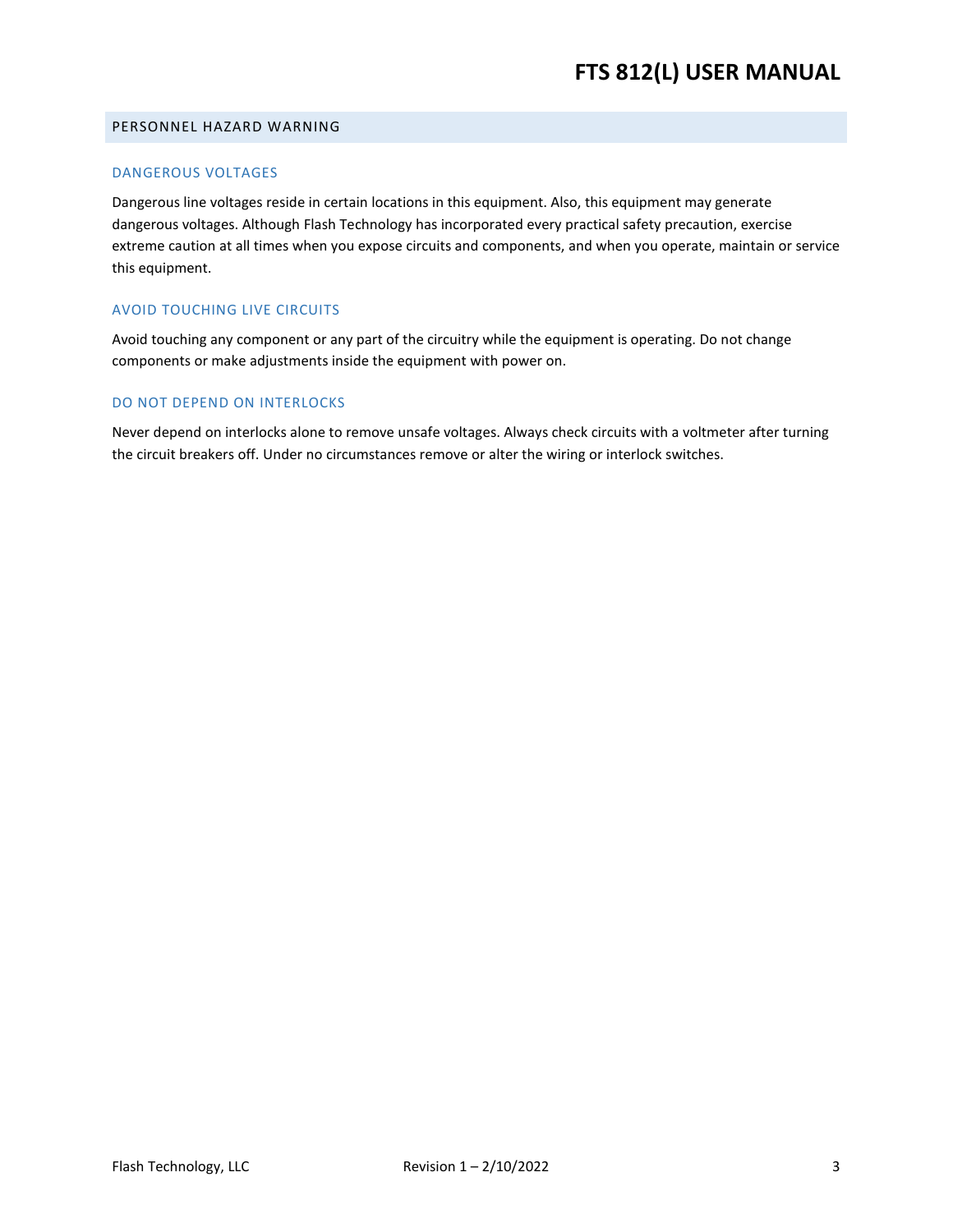### <span id="page-2-0"></span>PERSONNEL HAZARD WARNING

### DANGEROUS VOLTAGES

Dangerous line voltages reside in certain locations in this equipment. Also, this equipment may generate dangerous voltages. Although Flash Technology has incorporated every practical safety precaution, exercise extreme caution at all times when you expose circuits and components, and when you operate, maintain or service this equipment.

### AVOID TOUCHING LIVE CIRCUITS

Avoid touching any component or any part of the circuitry while the equipment is operating. Do not change components or make adjustments inside the equipment with power on.

### DO NOT DEPEND ON INTERLOCKS

Never depend on interlocks alone to remove unsafe voltages. Always check circuits with a voltmeter after turning the circuit breakers off. Under no circumstances remove or alter the wiring or interlock switches.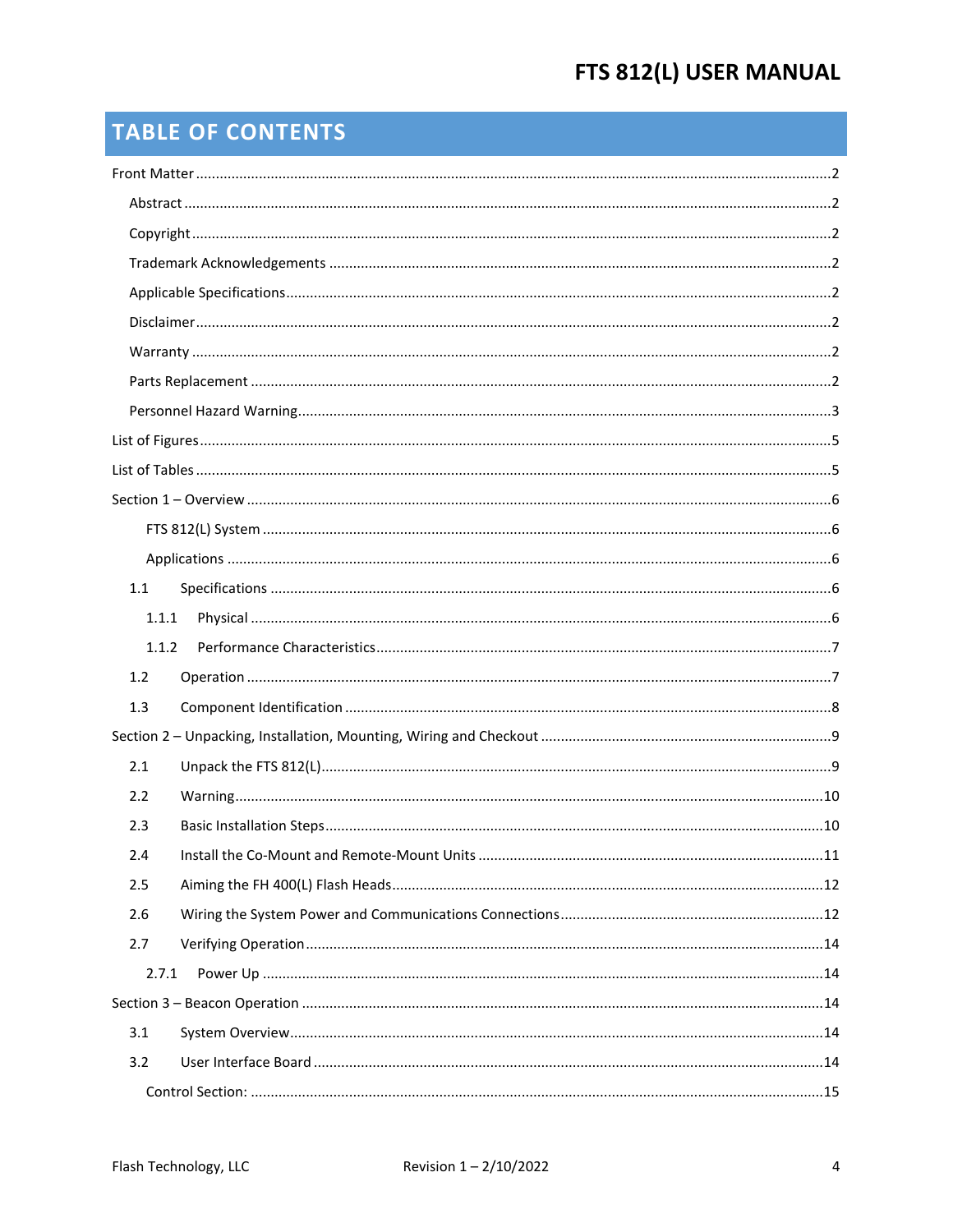# **TABLE OF CONTENTS**

| 1.1   |  |
|-------|--|
| 1.1.1 |  |
| 1.1.2 |  |
| 1.2   |  |
| 1.3   |  |
|       |  |
| 2.1   |  |
| 2.2   |  |
| 2.3   |  |
| 2.4   |  |
| 2.5   |  |
| 2.6   |  |
| 2.7   |  |
| 2.7.1 |  |
|       |  |
| 3.1   |  |
| 3.2   |  |
|       |  |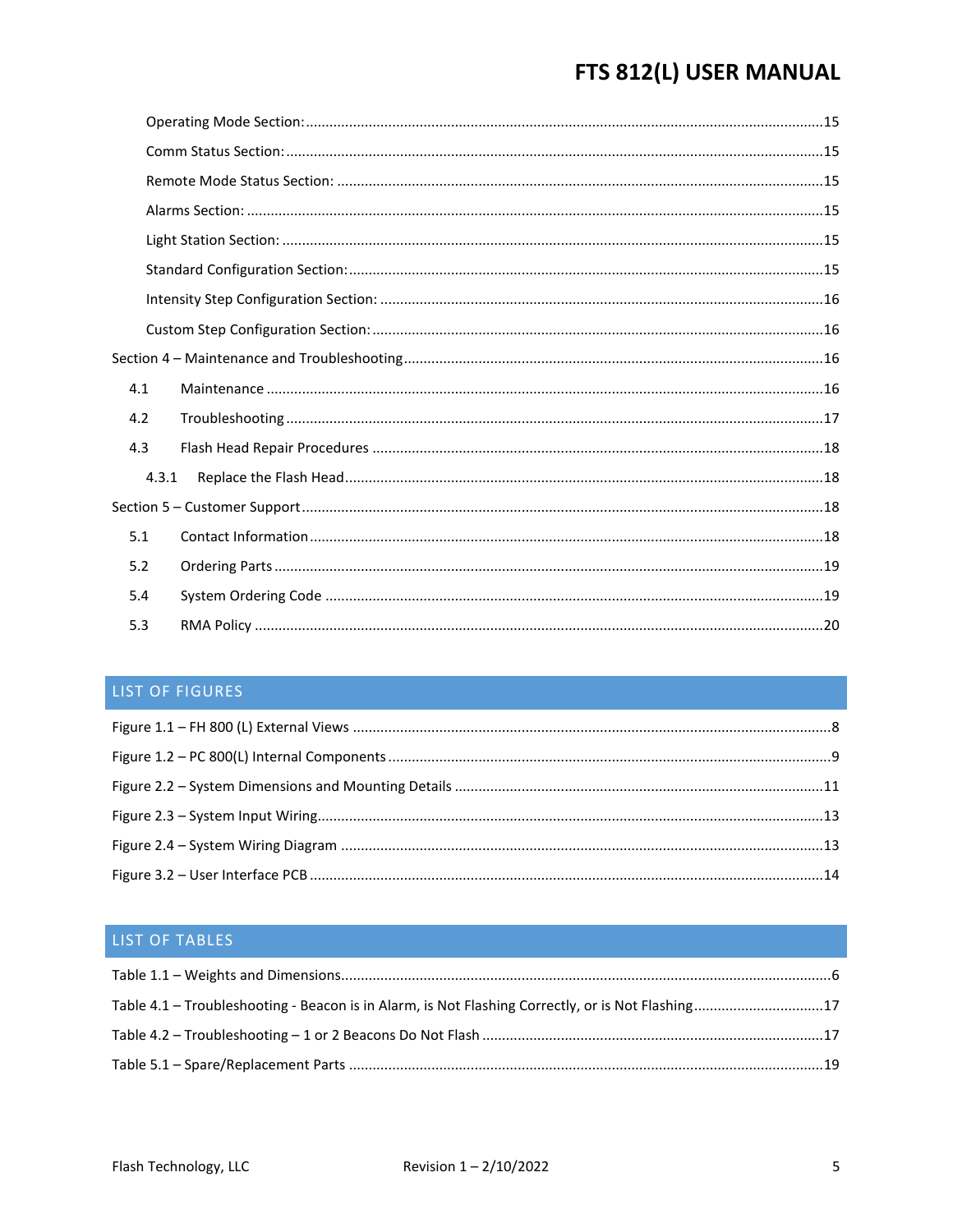| 4.1 |       |  |
|-----|-------|--|
| 4.2 |       |  |
| 4.3 |       |  |
|     | 4.3.1 |  |
|     |       |  |
| 5.1 |       |  |
| 5.2 |       |  |
| 5.4 |       |  |
| 5.3 |       |  |

# <span id="page-4-0"></span>LIST OF FIGURES

# <span id="page-4-1"></span>LIST OF TABLES

| Table 4.1 – Troubleshooting - Beacon is in Alarm, is Not Flashing Correctly, or is Not Flashing17 |  |
|---------------------------------------------------------------------------------------------------|--|
|                                                                                                   |  |
|                                                                                                   |  |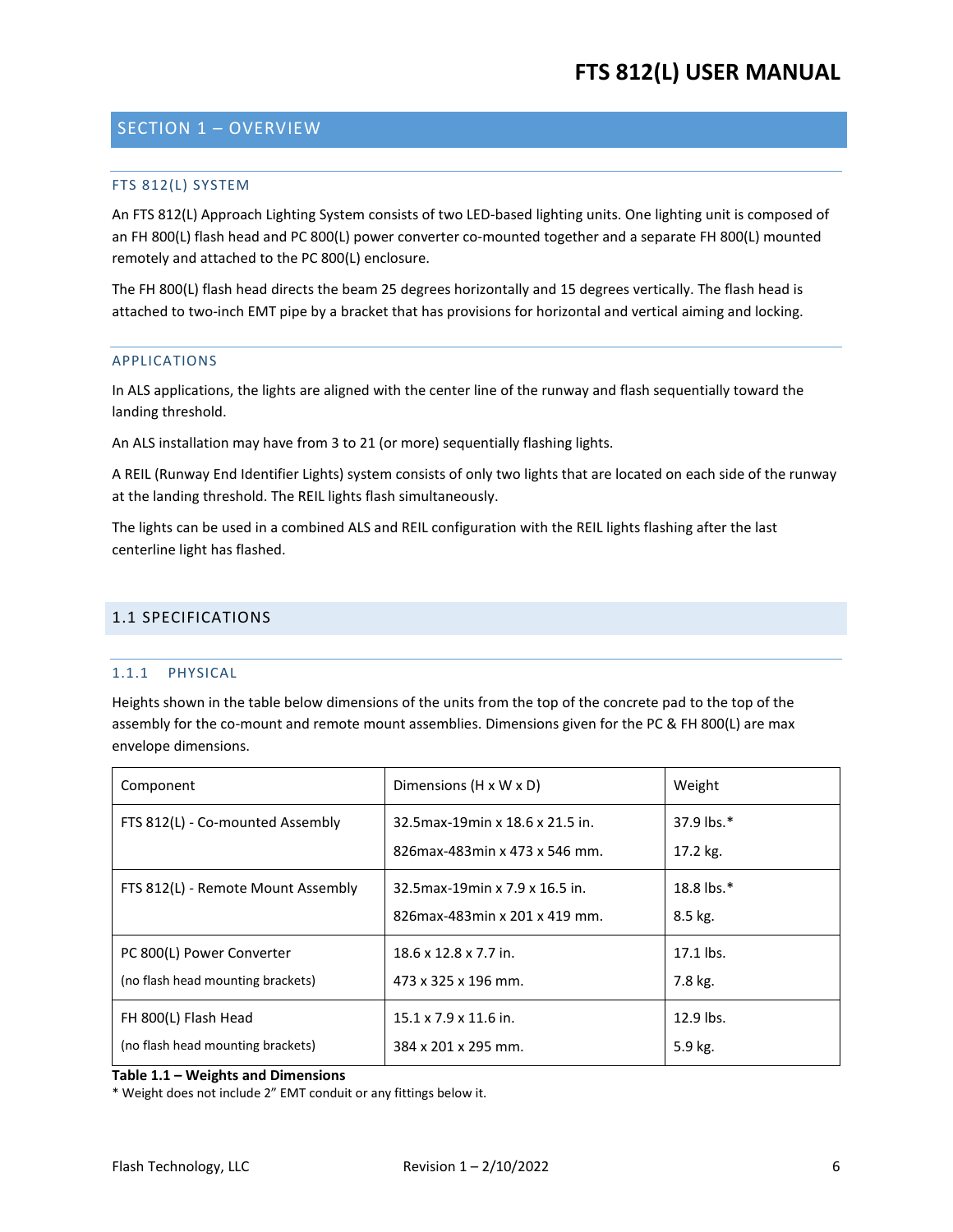# <span id="page-5-1"></span><span id="page-5-0"></span>SECTION 1 – OVERVIEW

### FTS 812(L) SYSTEM

An FTS 812(L) Approach Lighting System consists of two LED-based lighting units. One lighting unit is composed of an FH 800(L) flash head and PC 800(L) power converter co-mounted together and a separate FH 800(L) mounted remotely and attached to the PC 800(L) enclosure.

The FH 800(L) flash head directs the beam 25 degrees horizontally and 15 degrees vertically. The flash head is attached to two-inch EMT pipe by a bracket that has provisions for horizontal and vertical aiming and locking.

#### <span id="page-5-2"></span>APPLICATIONS

In ALS applications, the lights are aligned with the center line of the runway and flash sequentially toward the landing threshold.

An ALS installation may have from 3 to 21 (or more) sequentially flashing lights.

A REIL (Runway End Identifier Lights) system consists of only two lights that are located on each side of the runway at the landing threshold. The REIL lights flash simultaneously.

The lights can be used in a combined ALS and REIL configuration with the REIL lights flashing after the last centerline light has flashed.

### <span id="page-5-4"></span><span id="page-5-3"></span>1.1 SPECIFICATIONS

### 1.1.1 PHYSICAL

Heights shown in the table below dimensions of the units from the top of the concrete pad to the top of the assembly for the co-mount and remote mount assemblies. Dimensions given for the PC & FH 800(L) are max envelope dimensions.

| Component                                                      | Dimensions $(H \times W \times D)$                                   | Weight                      |
|----------------------------------------------------------------|----------------------------------------------------------------------|-----------------------------|
| FTS 812(L) - Co-mounted Assembly                               | 32.5 max-19 min x 18.6 x 21.5 in.<br>826 max-483 min x 473 x 546 mm. | 37.9 lbs. $*$<br>$17.2$ kg. |
| FTS 812(L) - Remote Mount Assembly                             | 32.5 max-19 min x 7.9 x 16.5 in.<br>826 max-483 min x 201 x 419 mm.  | 18.8 lbs. $*$<br>8.5 kg.    |
| PC 800(L) Power Converter<br>(no flash head mounting brackets) | $18.6 \times 12.8 \times 7.7$ in.<br>473 x 325 x 196 mm.             | 17.1 lbs.<br>7.8 kg.        |
| FH 800(L) Flash Head<br>(no flash head mounting brackets)      | $15.1 \times 7.9 \times 11.6$ in.<br>384 x 201 x 295 mm.             | $12.9$ lbs.<br>5.9 kg.      |

<span id="page-5-5"></span>**Table 1.1 – Weights and Dimensions**

\* Weight does not include 2" EMT conduit or any fittings below it.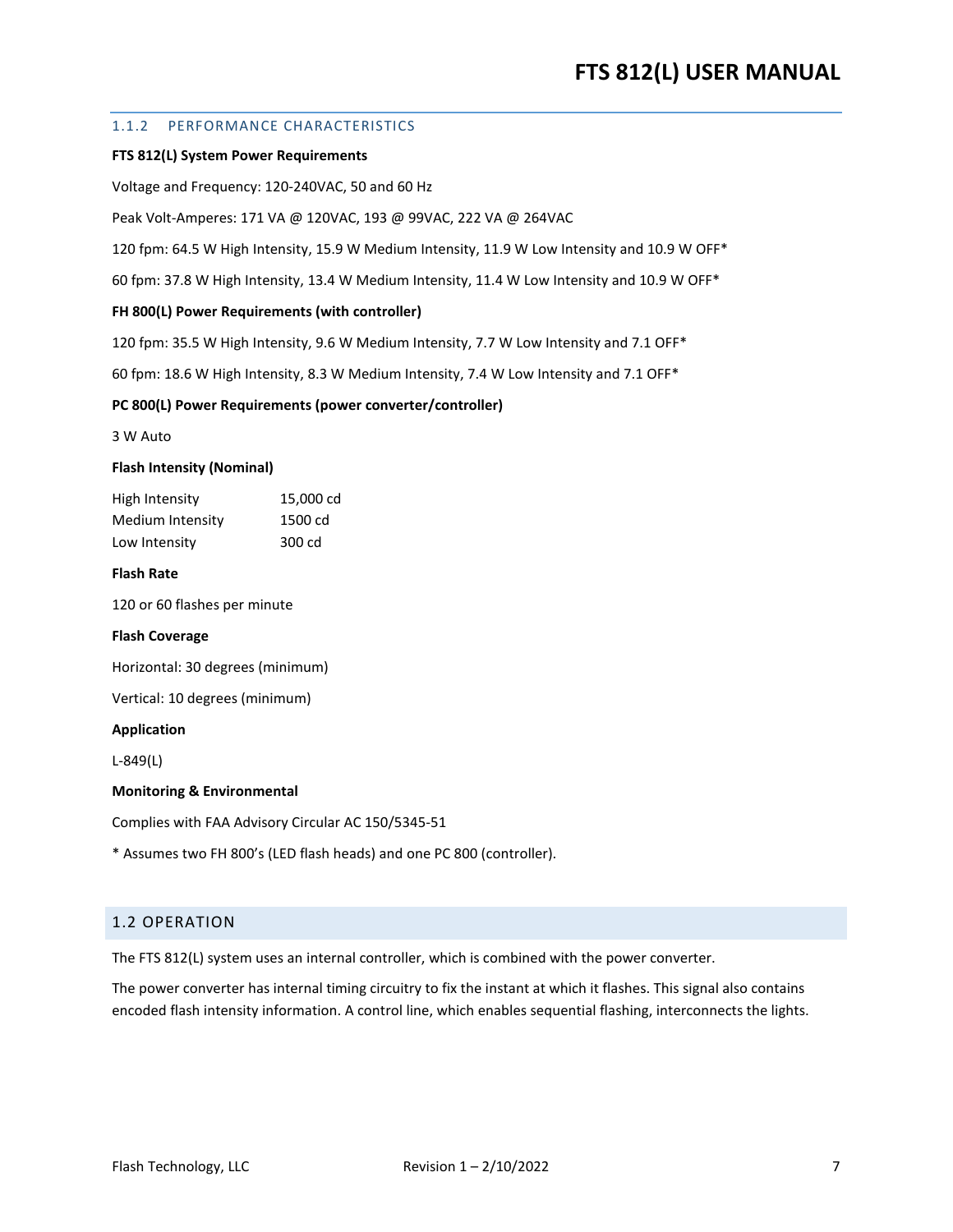### <span id="page-6-0"></span>1.1.2 PERFORMANCE CHARACTERISTICS

#### **FTS 812(L) System Power Requirements**

Voltage and Frequency: 120-240VAC, 50 and 60 Hz

Peak Volt-Amperes: 171 VA @ 120VAC, 193 @ 99VAC, 222 VA @ 264VAC

120 fpm: 64.5 W High Intensity, 15.9 W Medium Intensity, 11.9 W Low Intensity and 10.9 W OFF\*

60 fpm: 37.8 W High Intensity, 13.4 W Medium Intensity, 11.4 W Low Intensity and 10.9 W OFF\*

#### **FH 800(L) Power Requirements (with controller)**

120 fpm: 35.5 W High Intensity, 9.6 W Medium Intensity, 7.7 W Low Intensity and 7.1 OFF\*

60 fpm: 18.6 W High Intensity, 8.3 W Medium Intensity, 7.4 W Low Intensity and 7.1 OFF\*

#### **PC 800(L) Power Requirements (power converter/controller)**

3 W Auto

#### **Flash Intensity (Nominal)**

| High Intensity   | 15,000 cd |
|------------------|-----------|
| Medium Intensity | 1500 cd   |
| Low Intensity    | 300 cd    |

### **Flash Rate**

120 or 60 flashes per minute

### **Flash Coverage**

Horizontal: 30 degrees (minimum)

Vertical: 10 degrees (minimum)

#### **Application**

L-849(L)

#### **Monitoring & Environmental**

Complies with FAA Advisory Circular AC 150/5345-51

\* Assumes two FH 800's (LED flash heads) and one PC 800 (controller).

### <span id="page-6-1"></span>1.2 OPERATION

The FTS 812(L) system uses an internal controller, which is combined with the power converter.

The power converter has internal timing circuitry to fix the instant at which it flashes. This signal also contains encoded flash intensity information. A control line, which enables sequential flashing, interconnects the lights.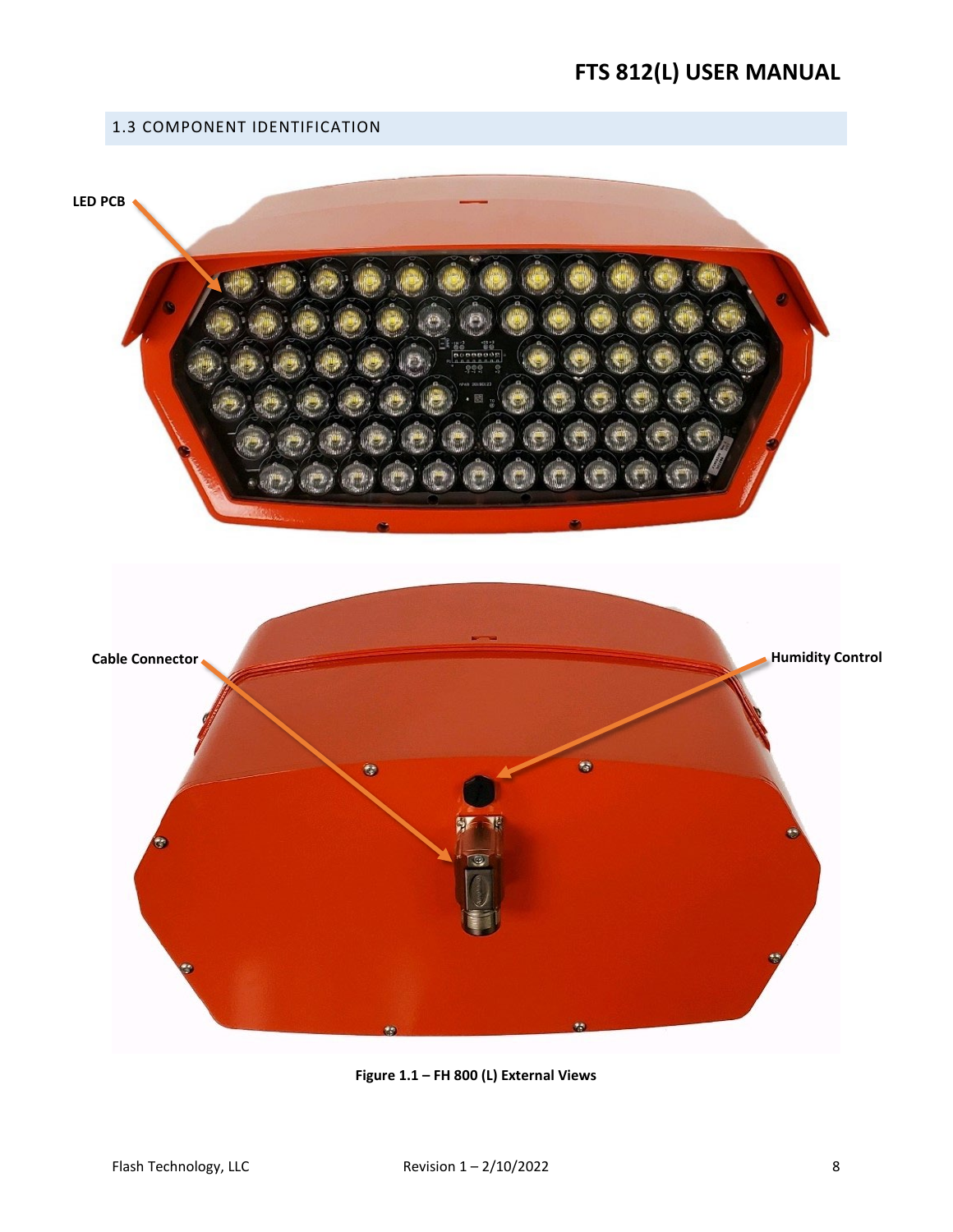# <span id="page-7-0"></span>1.3 COMPONENT IDENTIFICATION

<span id="page-7-1"></span>

**Figure 1.1 – FH 800 (L) External Views**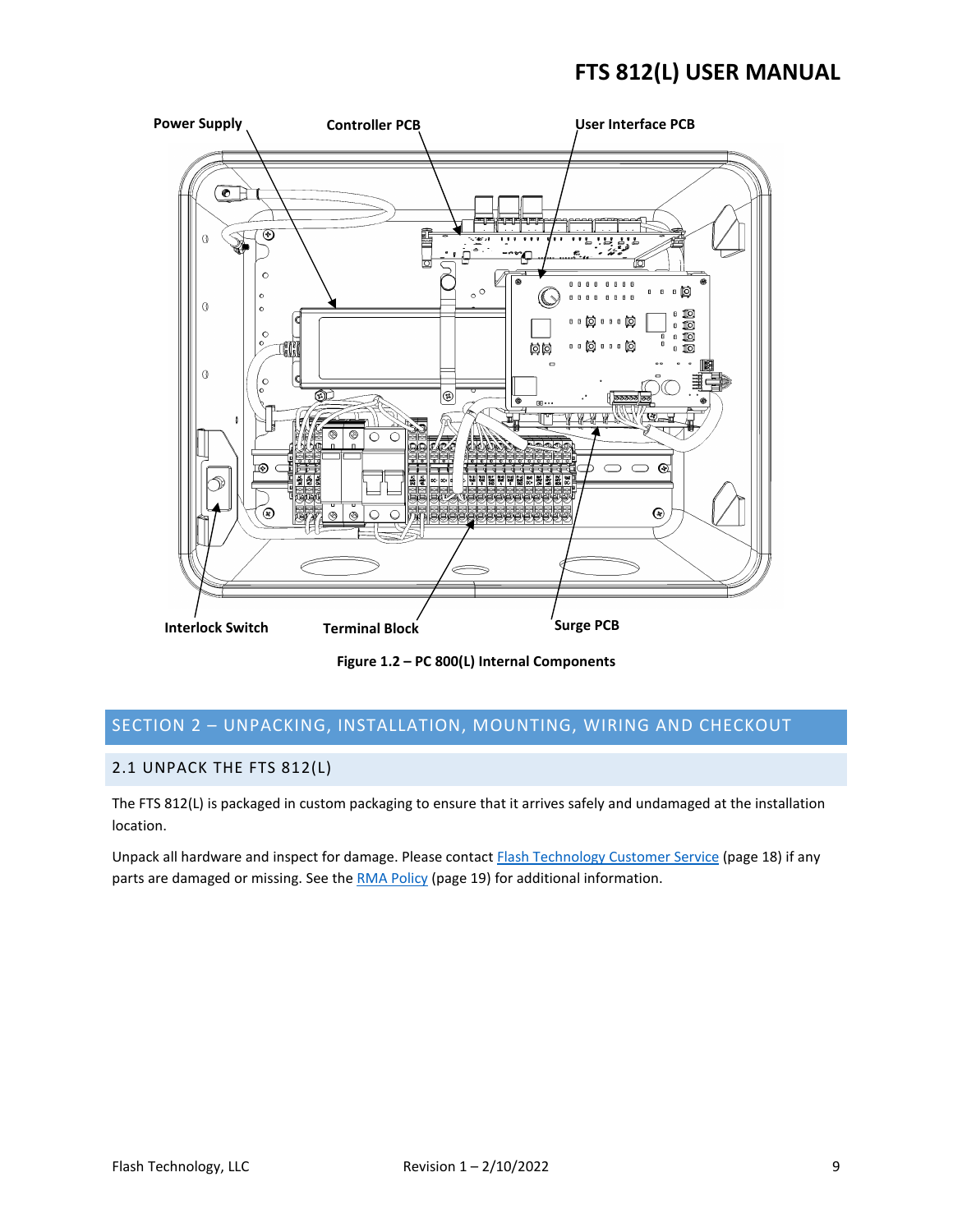

**Figure 1.2 – PC 800(L) Internal Components**

# <span id="page-8-2"></span><span id="page-8-0"></span>SECTION 2 – UNPACKING, INSTALLATION, MOUNTING, WIRING AND CHECKOUT

### <span id="page-8-1"></span>2.1 UNPACK THE FTS 812(L)

The FTS 812(L) is packaged in custom packaging to ensure that it arrives safely and undamaged at the installation location.

Unpack all hardware and inspect for damage. Please contac[t Flash Technology Customer Service](#page-17-4) (page 18) if any parts are damaged or missing. See th[e RMA Policy](#page-18-3) (page 19) for additional information.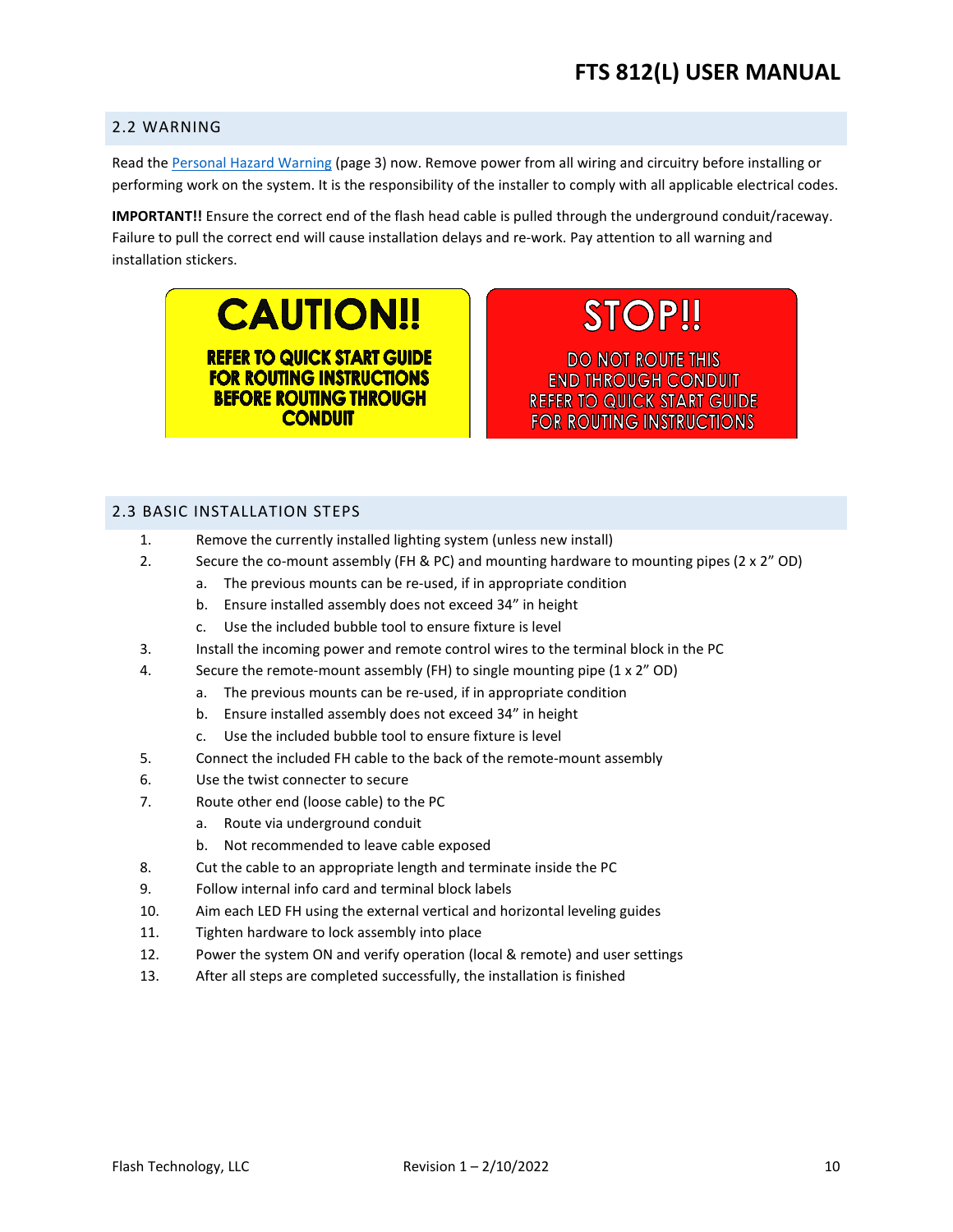### <span id="page-9-0"></span>2.2 WARNING

Read th[e Personal Hazard Warning](#page-2-0) (page 3) now. Remove power from all wiring and circuitry before installing or performing work on the system. It is the responsibility of the installer to comply with all applicable electrical codes.

**IMPORTANT!!** Ensure the correct end of the flash head cable is pulled through the underground conduit/raceway. Failure to pull the correct end will cause installation delays and re-work. Pay attention to all warning and installation stickers.

> **CAUTION!! REFER TO QUICK START GUIDE FOR ROUTING INSTRUCTIONS BEFORE ROUTING THROUGH CONDUIT**

**STOP!!** 

**DO NOT ROUTE THIS END THROUGH CONDUIT REFER TO QUICK START GUIDE FOR ROUTING INSTRUCTIONS** 

### <span id="page-9-1"></span>2.3 BASIC INSTALLATION STEPS

- 1. Remove the currently installed lighting system (unless new install)
- 2. Secure the co-mount assembly (FH & PC) and mounting hardware to mounting pipes ( $2 \times 2^n$  OD)
	- a. The previous mounts can be re-used, if in appropriate condition
		- b. Ensure installed assembly does not exceed 34" in height
		- c. Use the included bubble tool to ensure fixture is level
- 3. Install the incoming power and remote control wires to the terminal block in the PC
- 4. Secure the remote-mount assembly (FH) to single mounting pipe (1 x 2" OD)
	- a. The previous mounts can be re-used, if in appropriate condition
	- b. Ensure installed assembly does not exceed 34" in height
	- c. Use the included bubble tool to ensure fixture is level
- 5. Connect the included FH cable to the back of the remote-mount assembly
- 6. Use the twist connecter to secure
- 7. Route other end (loose cable) to the PC
	- a. Route via underground conduit
	- b. Not recommended to leave cable exposed
- 8. Cut the cable to an appropriate length and terminate inside the PC
- 9. Follow internal info card and terminal block labels
- 10. Aim each LED FH using the external vertical and horizontal leveling guides
- 11. Tighten hardware to lock assembly into place
- 12. Power the system ON and verify operation (local & remote) and user settings
- 13. After all steps are completed successfully, the installation is finished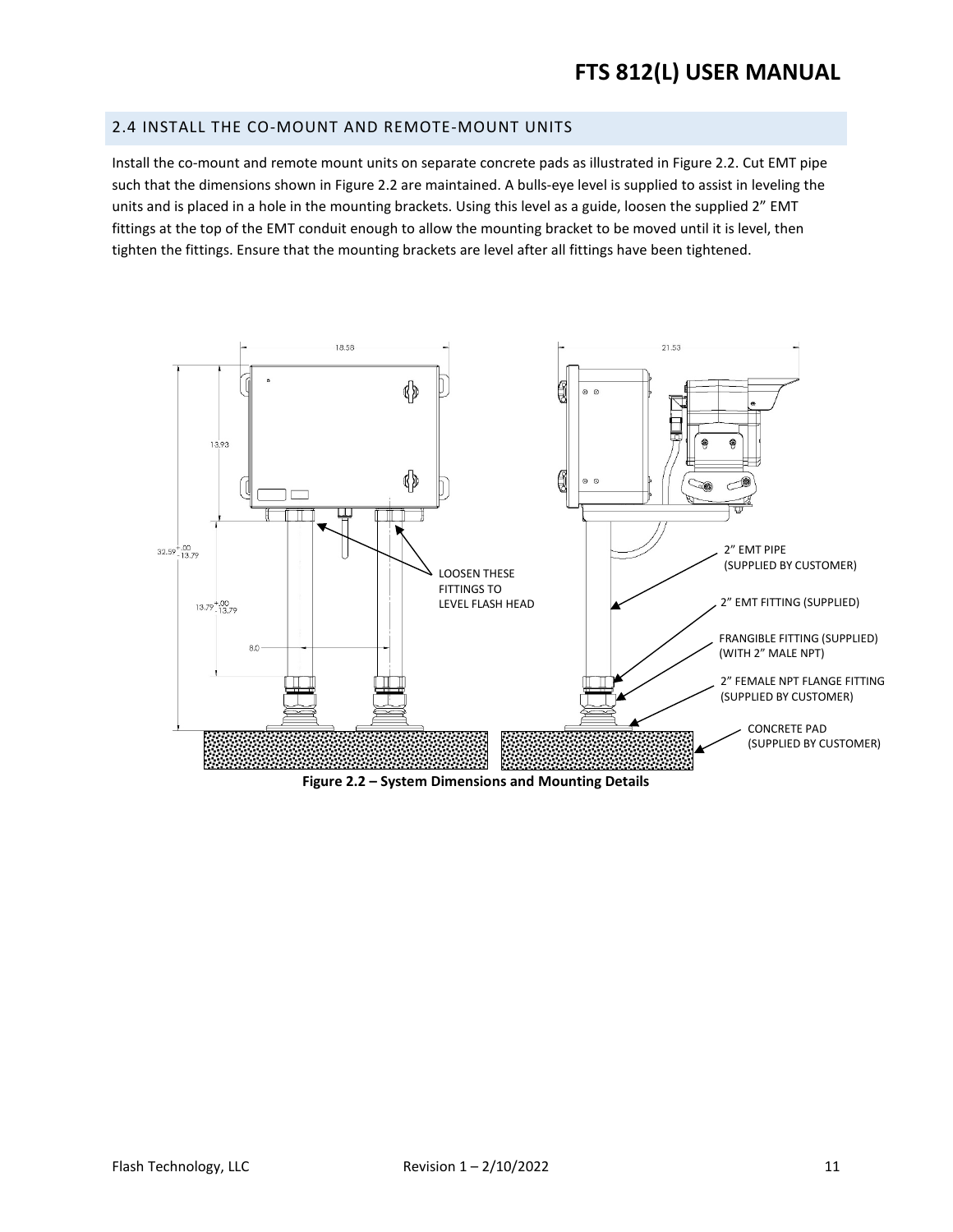### <span id="page-10-0"></span>2.4 INSTALL THE CO-MOUNT AND REMOTE-MOUNT UNITS

Install the co-mount and remote mount units on separate concrete pads as illustrated in Figure 2.2. Cut EMT pipe such that the dimensions shown in Figure 2.2 are maintained. A bulls-eye level is supplied to assist in leveling the units and is placed in a hole in the mounting brackets. Using this level as a guide, loosen the supplied 2" EMT fittings at the top of the EMT conduit enough to allow the mounting bracket to be moved until it is level, then tighten the fittings. Ensure that the mounting brackets are level after all fittings have been tightened.



<span id="page-10-1"></span>**Figure 2.2 – System Dimensions and Mounting Details**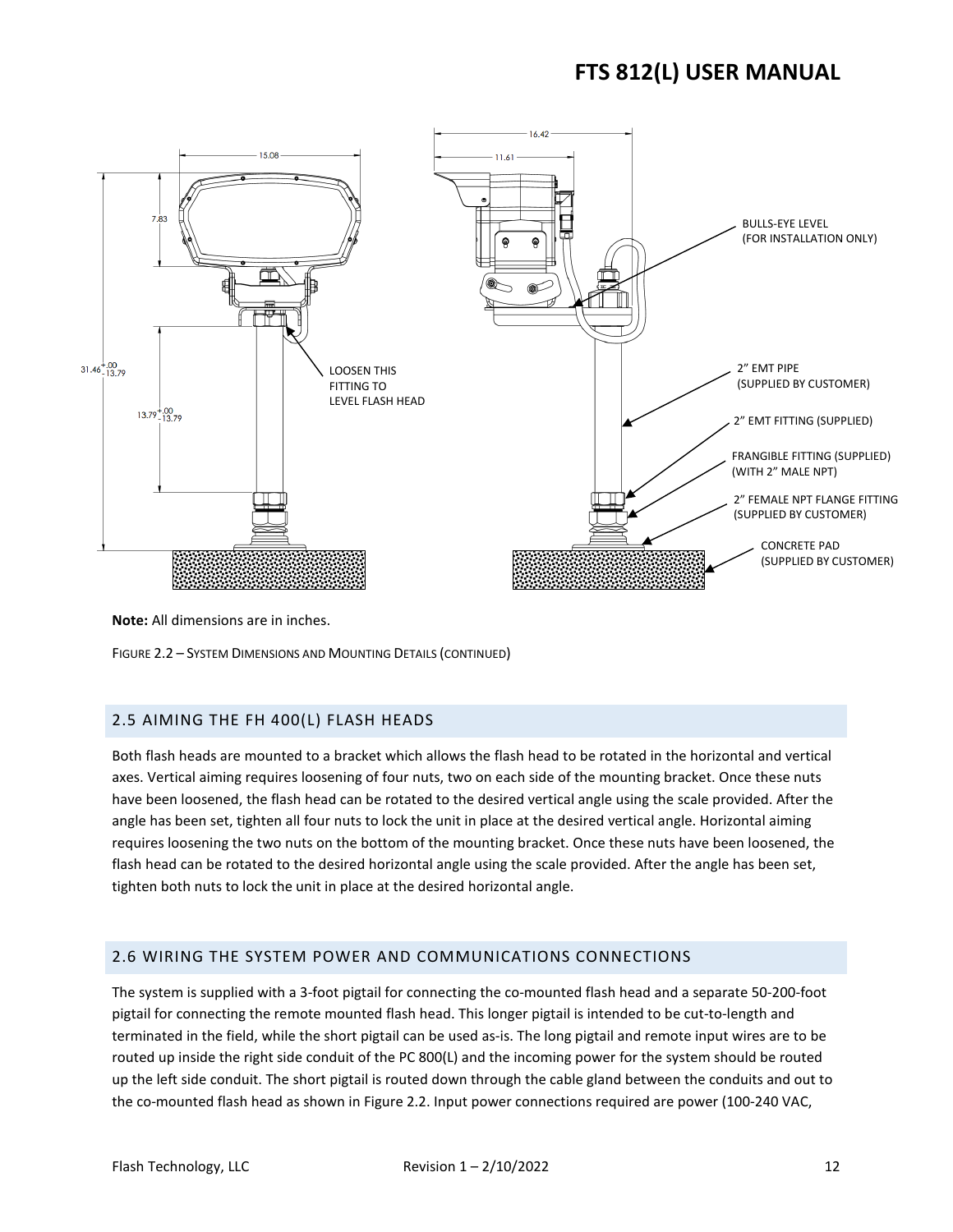

**Note:** All dimensions are in inches.

FIGURE 2.2 – SYSTEM DIMENSIONS AND MOUNTING DETAILS (CONTINUED)

### <span id="page-11-0"></span>2.5 AIMING THE FH 400(L) FLASH HEADS

Both flash heads are mounted to a bracket which allows the flash head to be rotated in the horizontal and vertical axes. Vertical aiming requires loosening of four nuts, two on each side of the mounting bracket. Once these nuts have been loosened, the flash head can be rotated to the desired vertical angle using the scale provided. After the angle has been set, tighten all four nuts to lock the unit in place at the desired vertical angle. Horizontal aiming requires loosening the two nuts on the bottom of the mounting bracket. Once these nuts have been loosened, the flash head can be rotated to the desired horizontal angle using the scale provided. After the angle has been set, tighten both nuts to lock the unit in place at the desired horizontal angle.

### <span id="page-11-1"></span>2.6 WIRING THE SYSTEM POWER AND COMMUNICATIONS CONNECTIONS

The system is supplied with a 3-foot pigtail for connecting the co-mounted flash head and a separate 50-200-foot pigtail for connecting the remote mounted flash head. This longer pigtail is intended to be cut-to-length and terminated in the field, while the short pigtail can be used as-is. The long pigtail and remote input wires are to be routed up inside the right side conduit of the PC 800(L) and the incoming power for the system should be routed up the left side conduit. The short pigtail is routed down through the cable gland between the conduits and out to the co-mounted flash head as shown in Figure 2.2. Input power connections required are power (100-240 VAC,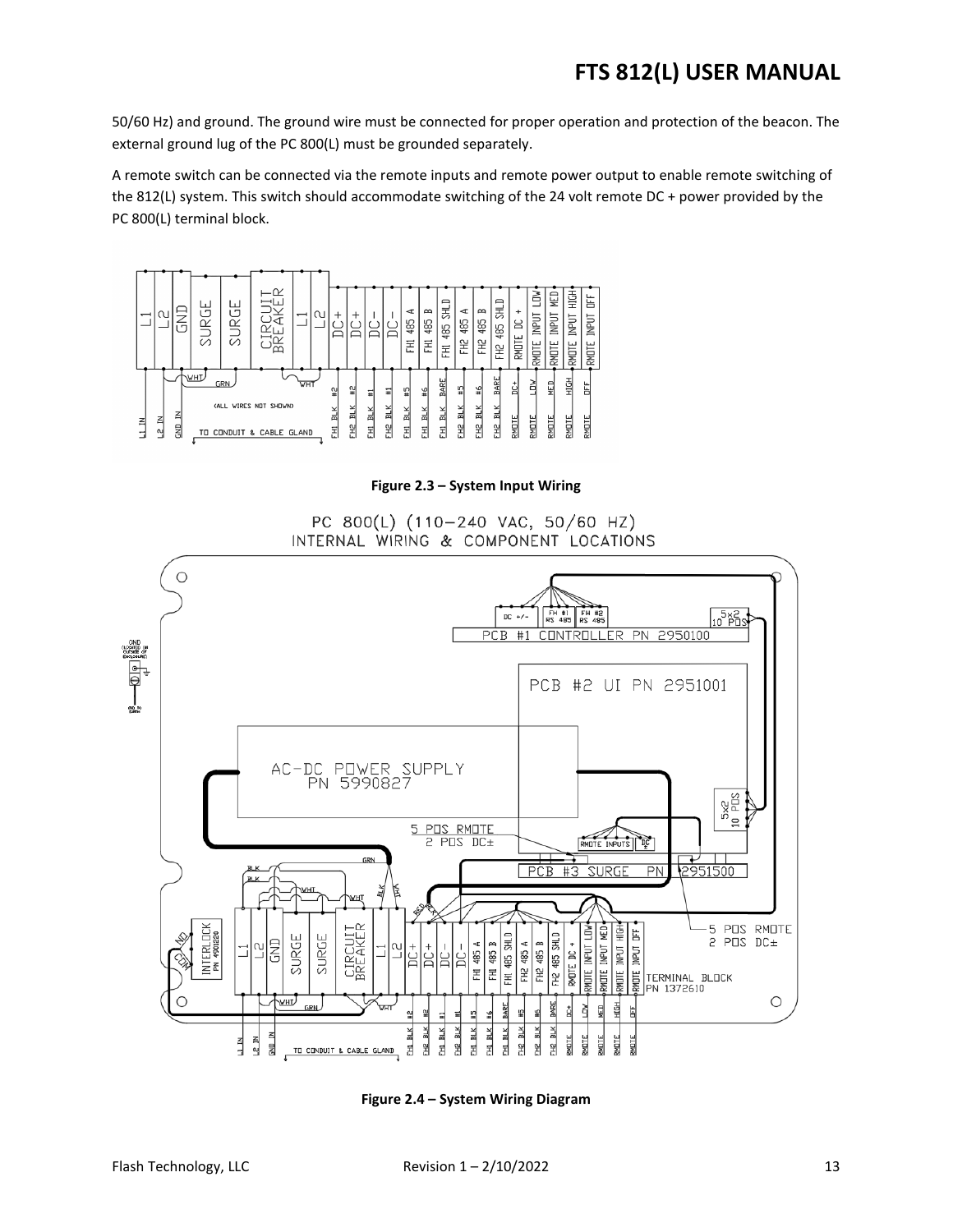50/60 Hz) and ground. The ground wire must be connected for proper operation and protection of the beacon. The external ground lug of the PC 800(L) must be grounded separately.

A remote switch can be connected via the remote inputs and remote power output to enable remote switching of the 812(L) system. This switch should accommodate switching of the 24 volt remote DC + power provided by the PC 800(L) terminal block.



**Figure 2.3 – System Input Wiring** 

PC 800(L) (110-240 VAC, 50/60 HZ) INTERNAL WIRING & COMPONENT LOCATIONS

<span id="page-12-0"></span>

<span id="page-12-1"></span>**Figure 2.4 – System Wiring Diagram**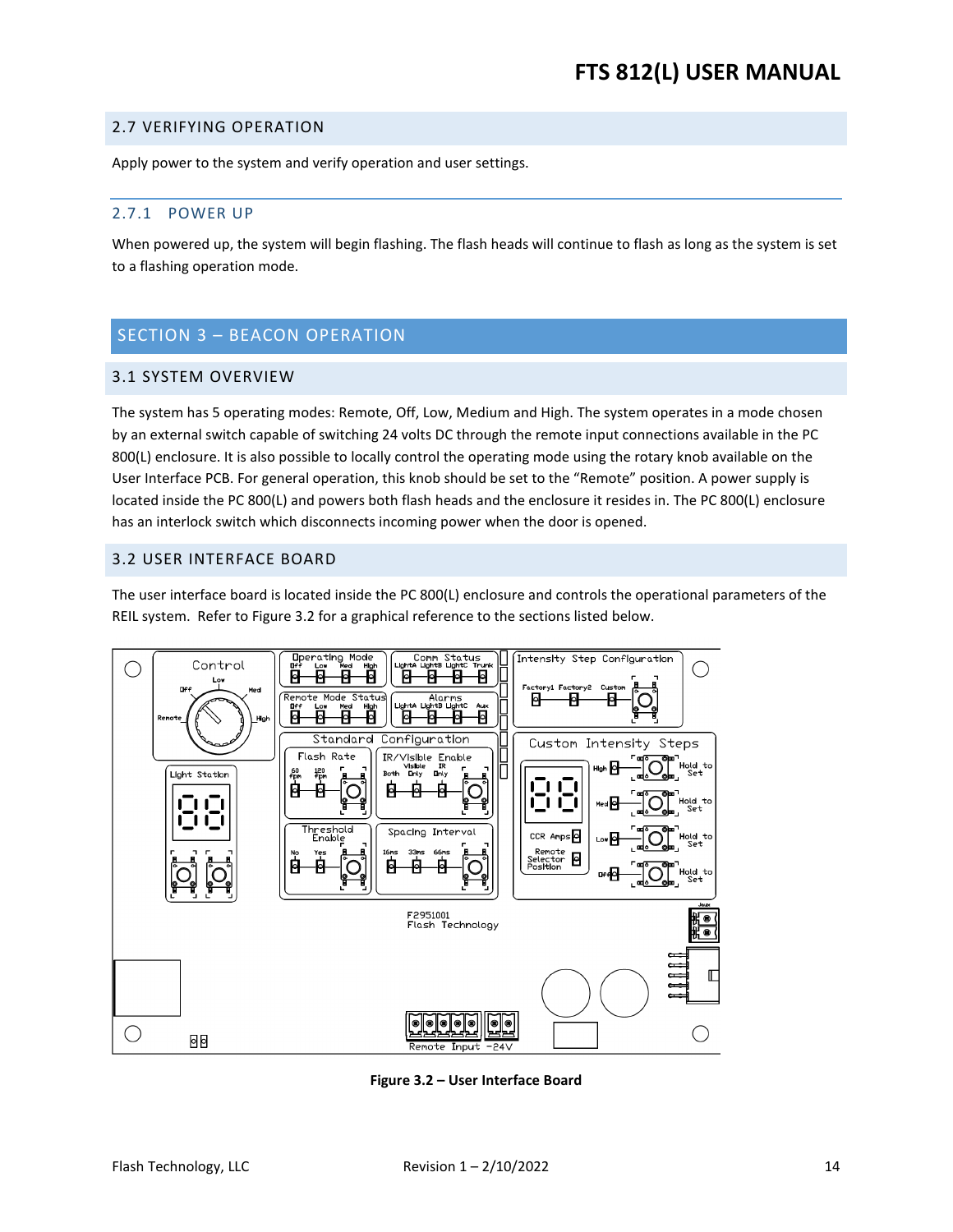### <span id="page-13-0"></span>2.7 VERIFYING OPERATION

Apply power to the system and verify operation and user settings.

### <span id="page-13-1"></span>2.7.1 POWER UP

When powered up, the system will begin flashing. The flash heads will continue to flash as long as the system is set to a flashing operation mode.

# <span id="page-13-2"></span>SECTION 3 – BEACON OPERATION

### <span id="page-13-3"></span>3.1 SYSTEM OVERVIEW

The system has 5 operating modes: Remote, Off, Low, Medium and High. The system operates in a mode chosen by an external switch capable of switching 24 volts DC through the remote input connections available in the PC 800(L) enclosure. It is also possible to locally control the operating mode using the rotary knob available on the User Interface PCB. For general operation, this knob should be set to the "Remote" position. A power supply is located inside the PC 800(L) and powers both flash heads and the enclosure it resides in. The PC 800(L) enclosure has an interlock switch which disconnects incoming power when the door is opened.

### <span id="page-13-4"></span>3.2 USER INTERFACE BOARD

The user interface board is located inside the PC 800(L) enclosure and controls the operational parameters of the REIL system. Refer to Figure 3.2 for a graphical reference to the sections listed below.



<span id="page-13-5"></span>**Figure 3.2 – User Interface Board**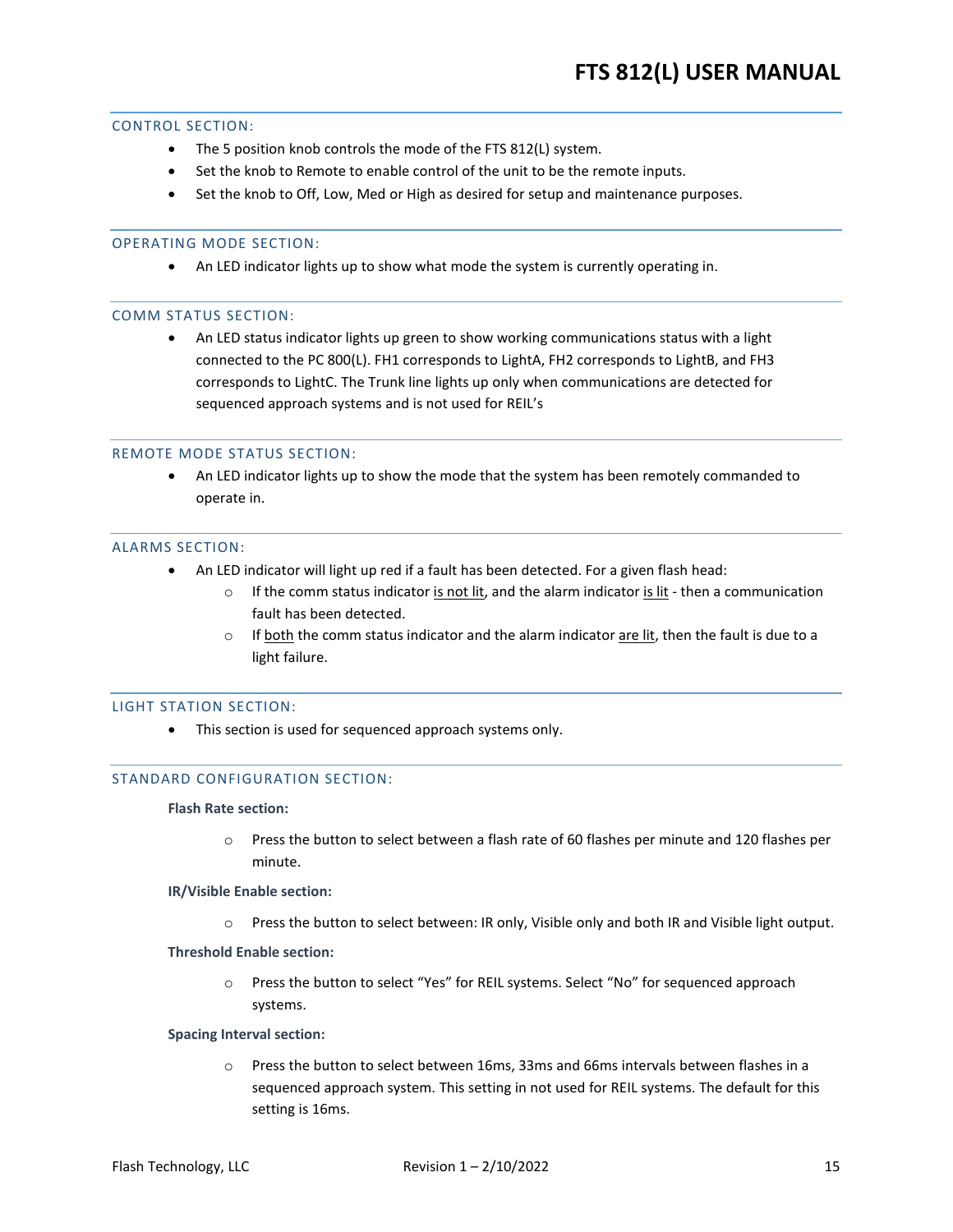### <span id="page-14-0"></span>CONTROL SECTION:

- The 5 position knob controls the mode of the FTS 812(L) system.
- Set the knob to Remote to enable control of the unit to be the remote inputs.
- Set the knob to Off, Low, Med or High as desired for setup and maintenance purposes.

### <span id="page-14-1"></span>OPERATING MODE SECTION:

• An LED indicator lights up to show what mode the system is currently operating in.

### <span id="page-14-2"></span>COMM STATUS SECTION:

• An LED status indicator lights up green to show working communications status with a light connected to the PC 800(L). FH1 corresponds to LightA, FH2 corresponds to LightB, and FH3 corresponds to LightC. The Trunk line lights up only when communications are detected for sequenced approach systems and is not used for REIL's

### <span id="page-14-3"></span>REMOTE MODE STATUS SECTION:

• An LED indicator lights up to show the mode that the system has been remotely commanded to operate in.

### <span id="page-14-4"></span>ALARMS SECTION:

- An LED indicator will light up red if a fault has been detected. For a given flash head:
	- $\circ$  If the comm status indicator is not lit, and the alarm indicator is lit then a communication fault has been detected.
	- $\circ$  If both the comm status indicator and the alarm indicator are lit, then the fault is due to a light failure.

#### <span id="page-14-5"></span>LIGHT STATION SECTION:

• This section is used for sequenced approach systems only.

### <span id="page-14-6"></span>STANDARD CONFIGURATION SECTION:

### **Flash Rate section:**

o Press the button to select between a flash rate of 60 flashes per minute and 120 flashes per minute.

#### **IR/Visible Enable section:**

o Press the button to select between: IR only, Visible only and both IR and Visible light output.

### **Threshold Enable section:**

o Press the button to select "Yes" for REIL systems. Select "No" for sequenced approach systems.

### **Spacing Interval section:**

o Press the button to select between 16ms, 33ms and 66ms intervals between flashes in a sequenced approach system. This setting in not used for REIL systems. The default for this setting is 16ms.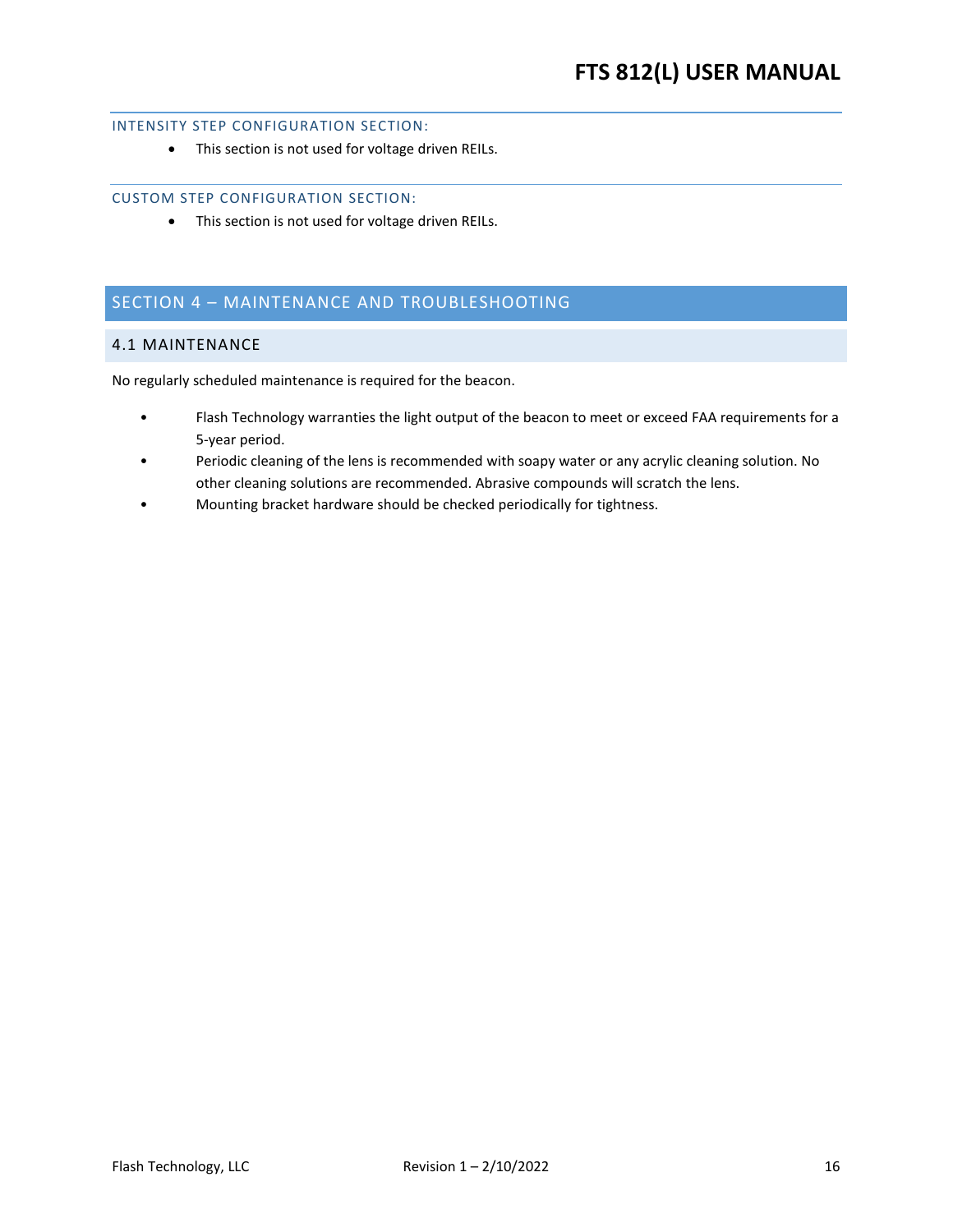### <span id="page-15-0"></span>INTENSITY STEP CONFIGURATION SECTION:

• This section is not used for voltage driven REILs.

### <span id="page-15-1"></span>CUSTOM STEP CONFIGURATION SECTION:

• This section is not used for voltage driven REILs.

# <span id="page-15-2"></span>SECTION 4 – MAINTENANCE AND TROUBLESHOOTING

### <span id="page-15-3"></span>4.1 MAINTENANCE

No regularly scheduled maintenance is required for the beacon.

- Flash Technology warranties the light output of the beacon to meet or exceed FAA requirements for a 5-year period.
- Periodic cleaning of the lens is recommended with soapy water or any acrylic cleaning solution. No other cleaning solutions are recommended. Abrasive compounds will scratch the lens.
- Mounting bracket hardware should be checked periodically for tightness.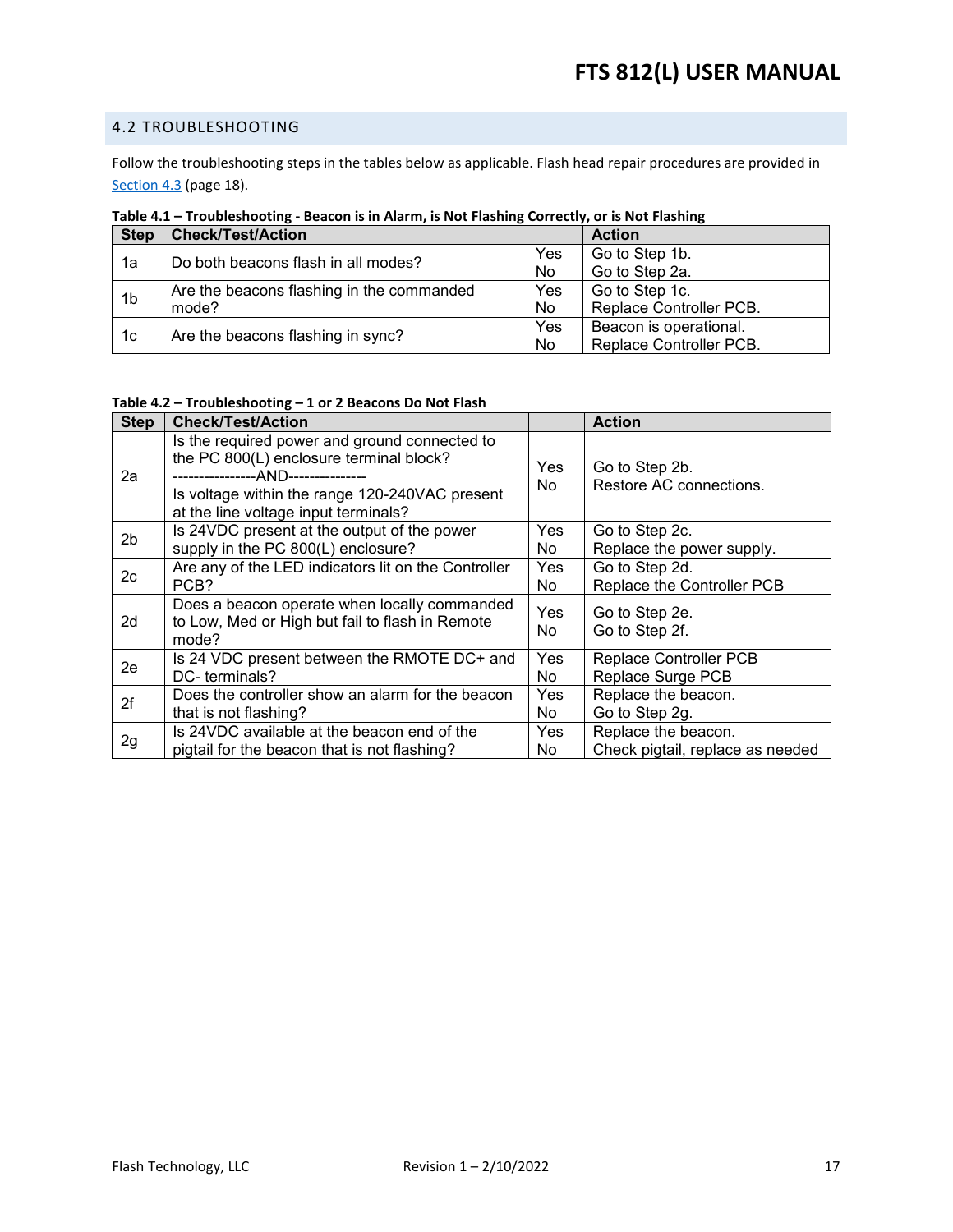### <span id="page-16-0"></span>4.2 TROUBLESHOOTING

Follow the troubleshooting steps in the tables below as applicable. Flash head repair procedures are provided in [Section 4.3](#page-17-0) (page [18\)](#page-17-0).

| <b>Step</b>    | <b>Check/Test/Action</b>                  |     | <b>Action</b>           |
|----------------|-------------------------------------------|-----|-------------------------|
| 1a             | Do both beacons flash in all modes?       | Yes | Go to Step 1b.          |
|                |                                           | No. | Go to Step 2a.          |
| 1 <sub>b</sub> | Are the beacons flashing in the commanded | Yes | Go to Step 1c.          |
|                | mode?                                     | No  | Replace Controller PCB. |
| 1c             | Are the beacons flashing in sync?         | Yes | Beacon is operational.  |
|                |                                           | No. | Replace Controller PCB. |

### <span id="page-16-1"></span>**Table 4.1 – Troubleshooting - Beacon is in Alarm, is Not Flashing Correctly, or is Not Flashing**

### <span id="page-16-2"></span>**Table 4.2 – Troubleshooting – 1 or 2 Beacons Do Not Flash**

| <b>Step</b> | <b>Check/Test/Action</b>                                                                                                                                                                                                 |            | <b>Action</b>                                           |
|-------------|--------------------------------------------------------------------------------------------------------------------------------------------------------------------------------------------------------------------------|------------|---------------------------------------------------------|
| 2a          | Is the required power and ground connected to<br>the PC 800(L) enclosure terminal block?<br>----------------AND---------------<br>Is voltage within the range 120-240VAC present<br>at the line voltage input terminals? | Yes<br>No. | Go to Step 2b.<br>Restore AC connections.               |
| 2b          | Is 24VDC present at the output of the power                                                                                                                                                                              | Yes        | Go to Step 2c.                                          |
|             | supply in the PC 800(L) enclosure?                                                                                                                                                                                       | No.        | Replace the power supply.                               |
| 2c          | Are any of the LED indicators lit on the Controller<br>PCB?                                                                                                                                                              | Yes<br>No  | Go to Step 2d.<br>Replace the Controller PCB            |
| 2d          | Does a beacon operate when locally commanded<br>to Low, Med or High but fail to flash in Remote<br>mode?                                                                                                                 | Yes<br>No  | Go to Step 2e.<br>Go to Step 2f.                        |
| 2e          | Is 24 VDC present between the RMOTE DC+ and<br>DC-terminals?                                                                                                                                                             | Yes<br>No  | <b>Replace Controller PCB</b><br>Replace Surge PCB      |
| 2f          | Does the controller show an alarm for the beacon<br>that is not flashing?                                                                                                                                                | Yes<br>No  | Replace the beacon.<br>Go to Step 2g.                   |
| 2g          | Is 24VDC available at the beacon end of the<br>pigtail for the beacon that is not flashing?                                                                                                                              | Yes<br>No. | Replace the beacon.<br>Check pigtail, replace as needed |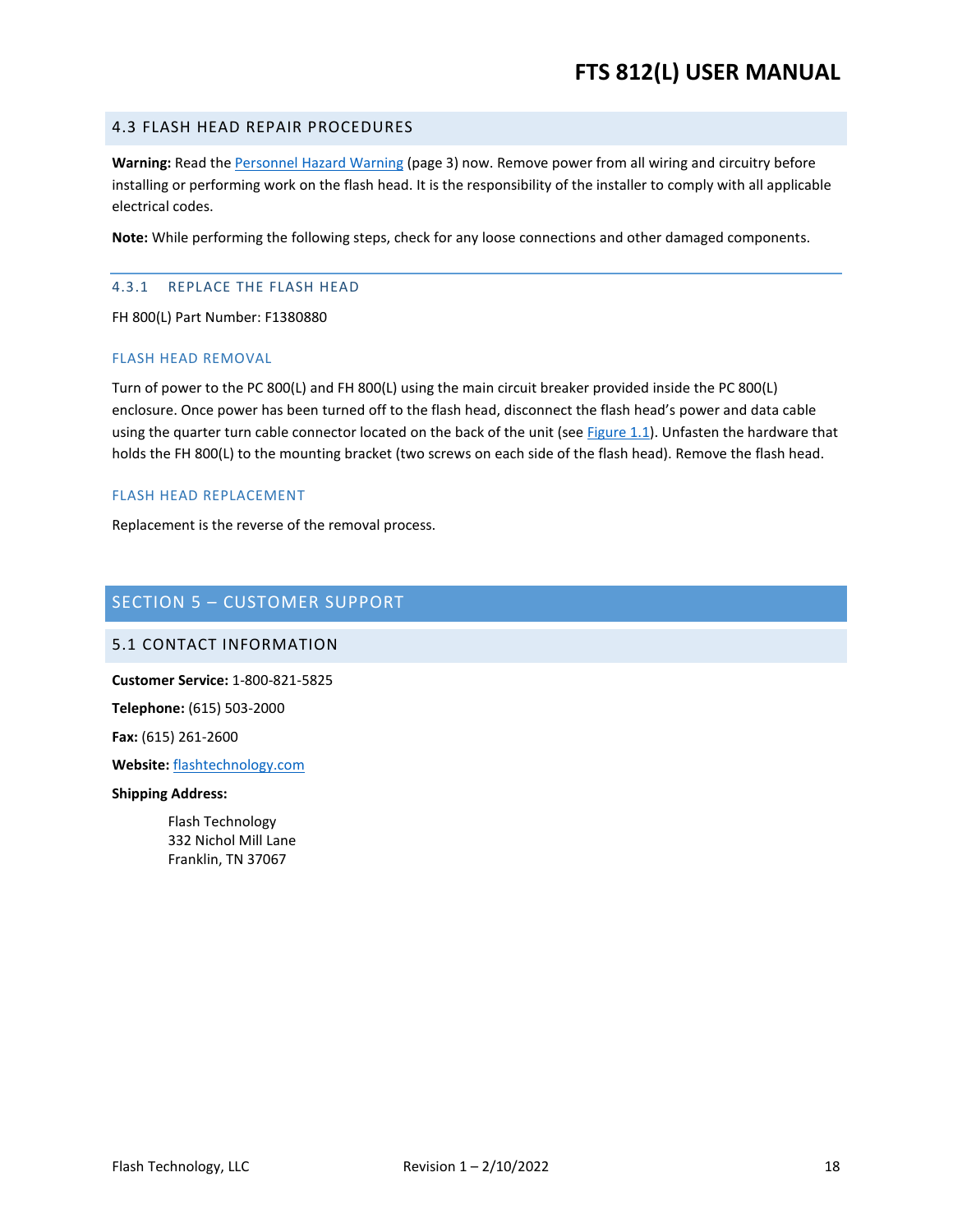### <span id="page-17-4"></span><span id="page-17-0"></span>4.3 FLASH HEAD REPAIR PROCEDURES

**Warning:** Read the [Personnel Hazard Warning](#page-2-0) (page 3) now. Remove power from all wiring and circuitry before installing or performing work on the flash head. It is the responsibility of the installer to comply with all applicable electrical codes.

**Note:** While performing the following steps, check for any loose connections and other damaged components.

### <span id="page-17-1"></span>4.3.1 REPLACE THE FLASH HEAD

FH 800(L) Part Number: F1380880

### FLASH HEAD REMOVAL

Turn of power to the PC 800(L) and FH 800(L) using the main circuit breaker provided inside the PC 800(L) enclosure. Once power has been turned off to the flash head, disconnect the flash head's power and data cable using the quarter turn cable connector located on the back of the unit (see  $Figure 1.1$ ). Unfasten the hardware that holds the FH 800(L) to the mounting bracket (two screws on each side of the flash head). Remove the flash head.

### FLASH HEAD REPLACEMENT

Replacement is the reverse of the removal process.

### <span id="page-17-2"></span>SECTION 5 – CUSTOMER SUPPORT

### <span id="page-17-3"></span>5.1 CONTACT INFORMATION

**Customer Service:** 1-800-821-5825

**Telephone:** (615) 503-2000

**Fax:** (615) 261-2600

**Website:** [flashtechnology.com](https://www.flashtechnology.com/)

#### **Shipping Address:**

Flash Technology 332 Nichol Mill Lane Franklin, TN 37067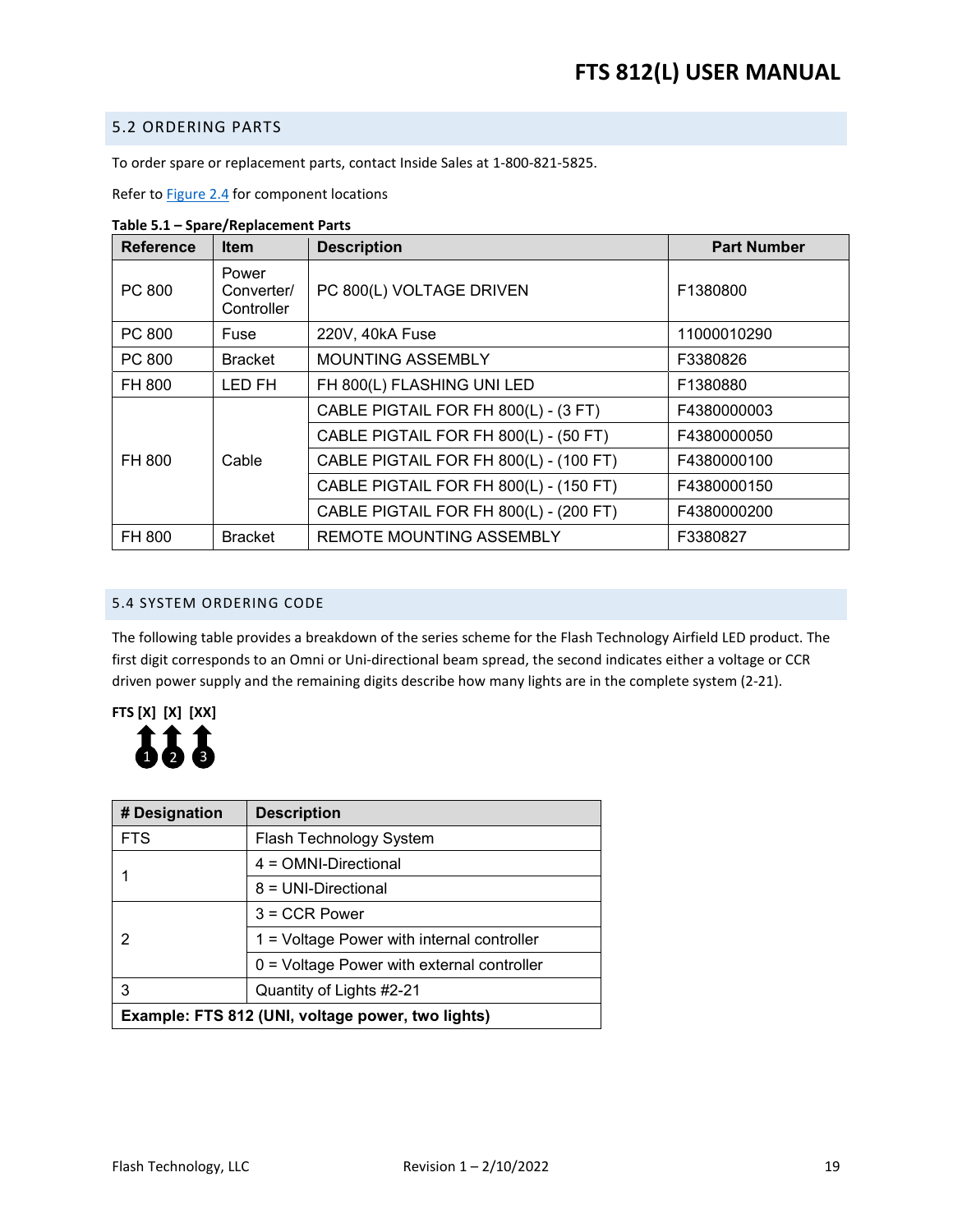### <span id="page-18-0"></span>5.2 ORDERING PARTS

To order spare or replacement parts, contact Inside Sales at 1-800-821-5825.

Refer to **Figure 2.4** for component locations

| <b>Reference</b> | <b>Item</b>                       | <b>Description</b>                     | <b>Part Number</b> |
|------------------|-----------------------------------|----------------------------------------|--------------------|
| PC 800           | Power<br>Converter/<br>Controller | PC 800(L) VOLTAGE DRIVEN               | F1380800           |
| PC 800           | Fuse                              | 220V, 40kA Fuse                        | 11000010290        |
| PC 800           | <b>Bracket</b>                    | <b>MOUNTING ASSEMBLY</b>               | F3380826           |
| FH 800           | LED FH                            | FH 800(L) FLASHING UNI LED             | F1380880           |
|                  |                                   | CABLE PIGTAIL FOR FH 800(L) - (3 FT)   | F4380000003        |
|                  |                                   | CABLE PIGTAIL FOR FH 800(L) - (50 FT)  | F4380000050        |
| FH 800           | Cable                             | CABLE PIGTAIL FOR FH 800(L) - (100 FT) | F4380000100        |
|                  |                                   | CABLE PIGTAIL FOR FH 800(L) - (150 FT) | F4380000150        |
|                  |                                   | CABLE PIGTAIL FOR FH 800(L) - (200 FT) | F4380000200        |
| FH 800           | <b>Bracket</b>                    | <b>REMOTE MOUNTING ASSEMBLY</b>        | F3380827           |

<span id="page-18-2"></span>**Table 5.1 – Spare/Replacement Parts**

### <span id="page-18-3"></span><span id="page-18-1"></span>5.4 SYSTEM ORDERING CODE

The following table provides a breakdown of the series scheme for the Flash Technology Airfield LED product. The first digit corresponds to an Omni or Uni-directional beam spread, the second indicates either a voltage or CCR driven power supply and the remaining digits describe how many lights are in the complete system (2-21).



| # Designation                                     | <b>Description</b>                           |  |
|---------------------------------------------------|----------------------------------------------|--|
| <b>FTS</b>                                        | Flash Technology System                      |  |
|                                                   | 4 = OMNI-Directional                         |  |
|                                                   | 8 = UNI-Directional                          |  |
|                                                   | $3 = CCR Power$                              |  |
| 2                                                 | 1 = Voltage Power with internal controller   |  |
|                                                   | $0 =$ Voltage Power with external controller |  |
| 3                                                 | Quantity of Lights #2-21                     |  |
| Example: FTS 812 (UNI, voltage power, two lights) |                                              |  |